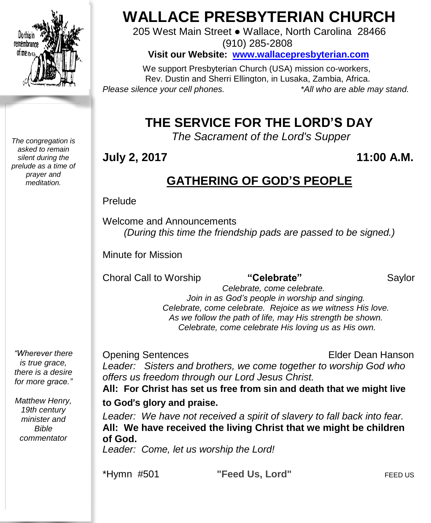

*The congregation is asked to remain silent during the prelude as a time of prayer and meditation.*

# **WALLACE PRESBYTERIAN CHURCH**

205 West Main Street ● Wallace, North Carolina 28466 (910) 285-2808

**Visit our Website: [www.wallacepresbyterian.com](http://www.wallacepresbyterian.com/)**

 We support Presbyterian Church (USA) mission co-workers, Rev. Dustin and Sherri Ellington, in Lusaka, Zambia, Africa. *Please silence your cell phones. \*All who are able may stand.*

# **THE SERVICE FOR THE LORD'S DAY**

*The Sacrament of the Lord's Supper*

# **July 2, 2017 11:00 A.M.**

# **GATHERING OF GOD'S PEOPLE**

#### Prelude

Welcome and Announcements *(During this time the friendship pads are passed to be signed.)*

Minute for Mission

**Choral Call to Worship "Celebrate"** Saylor

 *Celebrate, come celebrate. Join in as God's people in worship and singing. Celebrate, come celebrate. Rejoice as we witness His love. As we follow the path of life, may His strength be shown. Celebrate, come celebrate His loving us as His own.*

*"Wherever there is true grace, there is a desire for more grace."*

*Matthew Henry, 19th century minister and Bible commentator*

Opening Sentences **Elder Dean Hanson** *Leader: Sisters and brothers, we come together to worship God who offers us freedom through our Lord Jesus Christ.*

**All: For Christ has set us free from sin and death that we might live**

### **to God**'**s glory and praise.**

*Leader: We have not received a spirit of slavery to fall back into fear.* **All: We have received the living Christ that we might be children of God.**

*Leader: Come, let us worship the Lord!*

\*Hymn #501 **"Feed Us, Lord"** FEED US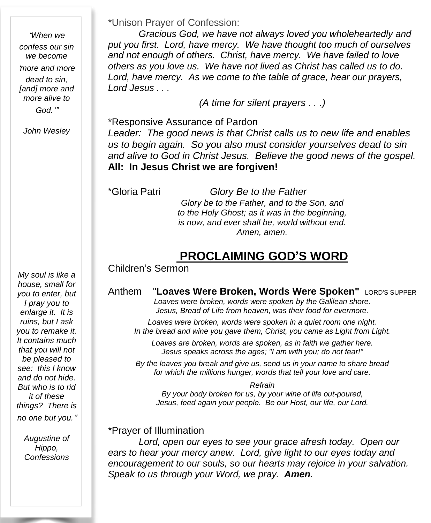"*When we confess our sin we become* '*more and more dead to sin, [and] more and more alive to God.*'"

*John Wesley*

*My soul is like a house, small for you to enter, but I pray you to enlarge it. It is ruins, but I ask you to remake it. It contains much that you will not be pleased to see: this I know and do not hide. But who is to rid it of these things? There is no one but you.*"

> *Augustine of Hippo, Confessions*

\*Unison Prayer of Confession:

*Gracious God, we have not always loved you wholeheartedly and put you first. Lord, have mercy. We have thought too much of ourselves and not enough of others. Christ, have mercy. We have failed to love others as you love us. We have not lived as Christ has called us to do. Lord, have mercy. As we come to the table of grace, hear our prayers, Lord Jesus . . .*

*(A time for silent prayers . . .)*

\*Responsive Assurance of Pardon *Leader: The good news is that Christ calls us to new life and enables us to begin again. So you also must consider yourselves dead to sin and alive to God in Christ Jesus. Believe the good news of the gospel.* **All: In Jesus Christ we are forgiven!**

\*Gloria Patri *Glory Be to the Father Glory be to the Father, and to the Son, and to the Holy Ghost; as it was in the beginning, is now, and ever shall be, world without end. Amen, amen.*

# **PROCLAIMING GOD'S WORD**

#### Children's Sermon

Anthem "**Loaves Were Broken, Words Were Spoken"** LORD'S SUPPER *Loaves were broken, words were spoken by the Galilean shore. Jesus, Bread of Life from heaven, was their food for evermore.*

*Loaves were broken, words were spoken in a quiet room one night. In the bread and wine you gave them, Christ, you came as Light from Light.*

*Loaves are broken, words are spoken, as in faith we gather here. Jesus speaks across the ages; "I am with you; do not fear!"*

*By the loaves you break and give us, send us in your name to share bread for which the millions hunger, words that tell your love and care.*

*Refrain*

*By your body broken for us, by your wine of life out-poured, Jesus, feed again your people. Be our Host, our life, our Lord.*

#### \*Prayer of Illumination

*Lord, open our eyes to see your grace afresh today. Open our ears to hear your mercy anew. Lord, give light to our eyes today and encouragement to our souls, so our hearts may rejoice in your salvation. Speak to us through your Word, we pray. Amen.*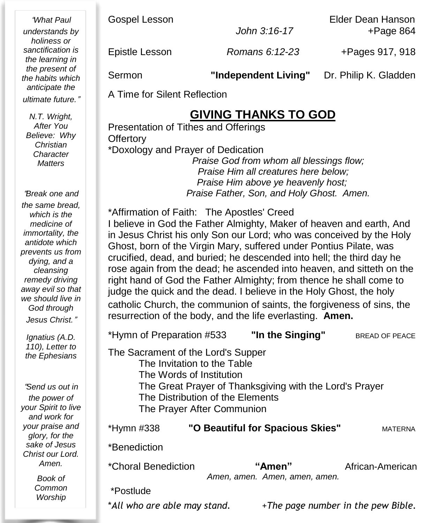"*What Paul understands by holiness or sanctification is the learning in the present of the habits which anticipate the ultimate future.*"

*N.T. Wright, After You Believe: Why Christian Character Matters*

"*Break one and the same bread, which is the medicine of immortality, the antidote which prevents us from dying, and a cleansing remedy driving away evil so that we should live in God through Jesus Christ.*"

*Ignatius (A.D. 110), Letter to the Ephesians*

"*Send us out in the power of your Spirit to live and work for your praise and glory, for the sake of Jesus Christ our Lord. Amen.*

> *Book of Common Worship*

Gospel Lesson **Elder Dean Hanson** *John 3:16-17* +Page 864

Epistle Lesson *Romans 6:12-23* +Pages 917, 918

Sermon **"Independent Living"** Dr. Philip K. Gladden

A Time for Silent Reflection

# **GIVING THANKS TO GOD**

Presentation of Tithes and Offerings **Offertory** \*Doxology and Prayer of Dedication *Praise God from whom all blessings flow;* *Praise Him all creatures here below;* *Praise Him above ye heavenly host; Praise Father, Son, and Holy Ghost. Amen.*

\*Affirmation of Faith: The Apostles' Creed I believe in God the Father Almighty, Maker of heaven and earth, And in Jesus Christ his only Son our Lord; who was conceived by the Holy Ghost, born of the Virgin Mary, suffered under Pontius Pilate, was crucified, dead, and buried; he descended into hell; the third day he rose again from the dead; he ascended into heaven, and sitteth on the right hand of God the Father Almighty; from thence he shall come to judge the quick and the dead. I believe in the Holy Ghost, the holy catholic Church, the communion of saints, the forgiveness of sins, the resurrection of the body, and the life everlasting. **Amen.**

\*Hymn of Preparation #533 **"In the Singing"** BREAD OF PEACE

The Sacrament of the Lord's Supper

The Invitation to the Table The Words of Institution The Great Prayer of Thanksgiving with the Lord's Prayer The Distribution of the Elements The Prayer After Communion

| *Hymn #338                 | "O Beautiful for Spacious Skies"        | <b>MATFRNA</b>   |
|----------------------------|-----------------------------------------|------------------|
| *Benediction               |                                         |                  |
| <i>*Choral Benediction</i> | "Amen"<br>Amen, amen. Amen, amen, amen. | African-American |
| *Postlude                  |                                         |                  |

\**All who are able may stand.* +*The page number in the pew Bible.*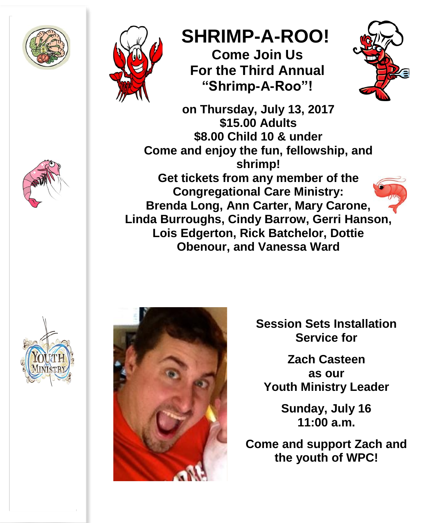



# **SHRIMP-A-ROO!**

**Come Join Us For the Third Annual "Shrimp-A-Roo"!**



**on Thursday, July 13, 2017 \$15.00 Adults \$8.00 Child 10 & under Come and enjoy the fun, fellowship, and shrimp! Get tickets from any member of the Congregational Care Ministry: Brenda Long, Ann Carter, Mary Carone, Linda Burroughs, Cindy Barrow, Gerri Hanson, Lois Edgerton, Rick Batchelor, Dottie Obenour, and Vanessa Ward**





**Session Sets Installation Service for**

**Zach Casteen as our Youth Ministry Leader**

> **Sunday, July 16 11:00 a.m.**

**Come and support Zach and the youth of WPC!**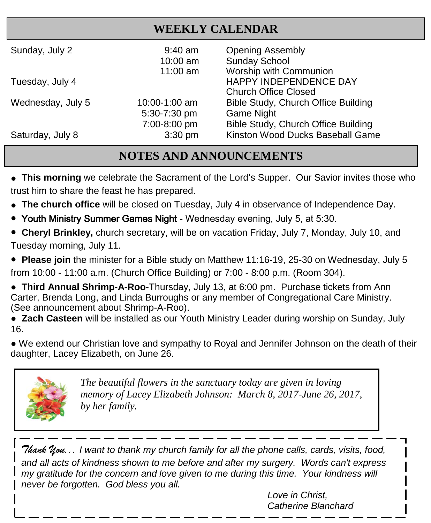# **WEEKLY CALENDAR**

| Sunday, July 2    | $9:40$ am<br>10:00 am<br>11:00 am | <b>Opening Assembly</b><br><b>Sunday School</b><br>Worship with Communion |
|-------------------|-----------------------------------|---------------------------------------------------------------------------|
| Tuesday, July 4   |                                   | HAPPY INDEPENDENCE DAY<br><b>Church Office Closed</b>                     |
| Wednesday, July 5 | 10:00-1:00 am<br>5:30-7:30 pm     | Bible Study, Church Office Building<br><b>Game Night</b>                  |
| Saturday, July 8  | 7:00-8:00 pm<br>$3:30$ pm         | Bible Study, Church Office Building<br>Kinston Wood Ducks Baseball Game   |

## **NOTES AND ANNOUNCEMENTS**

**• This morning** we celebrate the Sacrament of the Lord's Supper. Our Savior invites those who trust him to share the feast he has prepared.

- **● The church office** will be closed on Tuesday, July 4 in observance of Independence Day.
- Youth Ministry Summer Games Night Wednesday evening, July 5, at 5:30.

● **Cheryl Brinkley,** church secretary, will be on vacation Friday, July 7, Monday, July 10, and Tuesday morning, July 11.

● **Please join** the minister for a Bible study on Matthew 11:16-19, 25-30 on Wednesday, July 5

from 10:00 - 11:00 a.m. (Church Office Building) or 7:00 - 8:00 p.m. (Room 304).

● **Third Annual Shrimp-A-Roo**-Thursday, July 13, at 6:00 pm. Purchase tickets from Ann Carter, Brenda Long, and Linda Burroughs or any member of Congregational Care Ministry. (See announcement about Shrimp-A-Roo).

● **Zach Casteen** will be installed as our Youth Ministry Leader during worship on Sunday, July 16.

● We extend our Christian love and sympathy to Royal and Jennifer Johnson on the death of their daughter, Lacey Elizabeth, on June 26.



 *memory of Lacey Elizabeth Johnson: March 8, 2017-June 26, 2017, The beautiful flowers in the sanctuary today are given in loving by her family.*

*Thank You... I want to thank my church family for all the phone calls, cards, visits, food, and all acts of kindness shown to me before and after my surgery. Words can't express my gratitude for the concern and love given to me during this time. Your kindness will never be forgotten. God bless you all.* 

*Love in Christ, Catherine Blanchard*